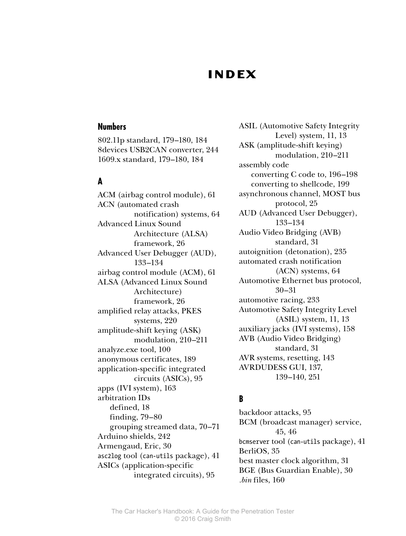# **Index**

#### **Numbers**

802.11p standard, 179–180, 184 8devices USB2CAN converter, 244 1609.x standard, 179–180, 184

#### **A**

ACM (airbag control module), 61 ACN (automated crash notification) systems, 64 Advanced Linux Sound Architecture (ALSA) framework, 26 Advanced User Debugger (AUD), 133–134 airbag control module (ACM), 61 ALSA (Advanced Linux Sound Architecture) framework, 26 amplified relay attacks, PKES systems, 220 amplitude-shift keying (ASK) modulation, 210–211 analyze.exe tool, 100 anonymous certificates, 189 application-specific integrated circuits (ASICs), 95 apps (IVI system), 163 arbitration IDs defined, 18 finding, 79–80 grouping streamed data, 70–71 Arduino shields, 242 Armengaud, Eric, 30 asc2log tool (can-utils package), 41 ASICs (application-specific integrated circuits), 95

ASIL (Automotive Safety Integrity Level) system, 11, 13 ASK (amplitude-shift keying) modulation, 210–211 assembly code converting C code to, 196–198 converting to shellcode, 199 asynchronous channel, MOST bus protocol, 25 AUD (Advanced User Debugger), 133–134 Audio Video Bridging (AVB) standard, 31 autoignition (detonation), 235 automated crash notification (ACN) systems, 64 Automotive Ethernet bus protocol, 30–31 automotive racing, 233 Automotive Safety Integrity Level (ASIL) system, 11, 13 auxiliary jacks (IVI systems), 158 AVB (Audio Video Bridging) standard, 31 AVR systems, resetting, 143 AVRDUDESS GUI, 137, 139–140, 251

### **B**

backdoor attacks, 95 BCM (broadcast manager) service, 45, 46 bcmserver tool (can-utils package), 41 BerliOS, 35 best master clock algorithm, 31 BGE (Bus Guardian Enable), 30 *.bin* files, 160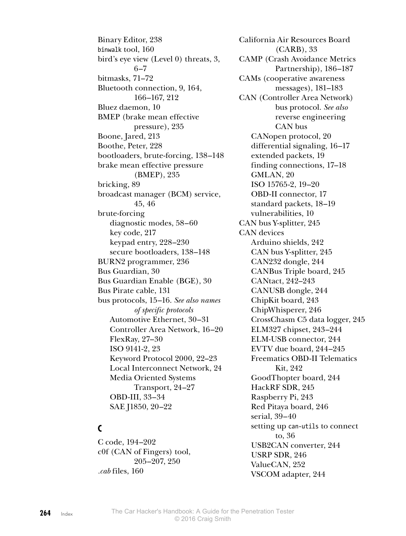Binary Editor, 238 binwalk tool, 160 bird's eye view (Level 0) threats, 3, 6–7 bitmasks, 71–72 Bluetooth connection, 9, 164, 166–167, 212 Bluez daemon, 10 BMEP (brake mean effective pressure), 235 Boone, Jared, 213 Boothe, Peter, 228 bootloaders, brute-forcing, 138–148 brake mean effective pressure (BMEP), 235 bricking, 89 broadcast manager (BCM) service, 45, 46 brute-forcing diagnostic modes, 58–60 key code, 217 keypad entry, 228–230 secure bootloaders, 138–148 BURN2 programmer, 236 Bus Guardian, 30 Bus Guardian Enable (BGE), 30 Bus Pirate cable, 131 bus protocols, 15–16. *See also names of specific protocols* Automotive Ethernet, 30–31 Controller Area Network, 16–20 FlexRay, 27–30 ISO 9141-2, 23 Keyword Protocol 2000, 22–23 Local Interconnect Network, 24 Media Oriented Systems Transport, 24–27 OBD-III, 33–34 SAE J1850, 20–22

## **C**

C code, 194–202 c0f (CAN of Fingers) tool, 205–207, 250 *.cab* files, 160

California Air Resources Board (CARB), 33 CAMP (Crash Avoidance Metrics Partnership), 186–187 CAMs (cooperative awareness messages), 181–183 CAN (Controller Area Network) bus protocol. *See also* reverse engineering CAN bus CANopen protocol, 20 differential signaling, 16–17 extended packets, 19 finding connections, 17–18 GMLAN, 20 ISO 15765-2, 19–20 OBD-II connector, 17 standard packets, 18–19 vulnerabilities, 10 CAN bus Y-splitter, 245 CAN devices Arduino shields, 242 CAN bus Y-splitter, 245 CAN232 dongle, 244 CANBus Triple board, 245 CANtact, 242–243 CANUSB dongle, 244 ChipKit board, 243 ChipWhisperer, 246 CrossChasm C5 data logger, 245 ELM327 chipset, 243–244 ELM-USB connector, 244 EVTV due board, 244–245 Freematics OBD-II Telematics Kit, 242 GoodThopter board, 244 HackRF SDR, 245 Raspberry Pi, 243 Red Pitaya board, 246 serial, 39–40 setting up can-utils to connect to, 36 USB2CAN converter, 244 USRP SDR, 246 ValueCAN, 252 VSCOM adapter, 244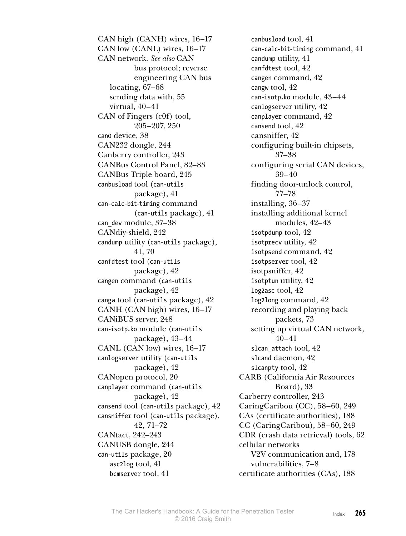CAN high (CANH) wires, 16–17 CAN low (CANL) wires, 16–17 CAN network. *See also* CAN bus protocol; reverse engineering CAN bus locating, 67–68 sending data with, 55 virtual, 40–41 CAN of Fingers (c0f) tool, 205–207, 250 can0 device, 38 CAN232 dongle, 244 Canberry controller, 243 CANBus Control Panel, 82–83 CANBus Triple board, 245 canbusload tool (can-utils package), 41 can-calc-bit-timing command (can-utils package), 41 can\_dev module, 37–38 CANdiy-shield, 242 candump utility (can-utils package), 41, 70 canfdtest tool (can-utils package), 42 cangen command (can-utils package), 42 cangw tool (can-utils package), 42 CANH (CAN high) wires, 16–17 CANiBUS server, 248 can-isotp.ko module (can-utils package), 43–44 CANL (CAN low) wires, 16–17 canlogserver utility (can-utils package), 42 CANopen protocol, 20 canplayer command (can-utils package), 42 cansend tool (can-utils package), 42 cansniffer tool (can-utils package), 42, 71–72 CANtact, 242–243 CANUSB dongle, 244 can-utils package, 20 asc2log tool, 41 bcmserver tool, 41

canbusload tool, 41 can-calc-bit-timing command, 41 candump utility, 41 canfdtest tool, 42 cangen command, 42 cangw tool, 42 can-isotp.ko module, 43–44 canlogserver utility, 42 canplayer command, 42 cansend tool, 42 cansniffer, 42 configuring built-in chipsets, 37–38 configuring serial CAN devices, 39–40 finding door-unlock control, 77–78 installing, 36–37 installing additional kernel modules, 42–43 isotpdump tool, 42 isotprecv utility, 42 isotpsend command, 42 isotpserver tool, 42 isotpsniffer, 42 isotptun utility, 42 log2asc tool, 42 log2long command, 42 recording and playing back packets, 73 setting up virtual CAN network, 40–41 slcan attach tool, 42 slcand daemon, 42 slcanpty tool, 42 CARB (California Air Resources Board), 33 Carberry controller, 243 CaringCaribou (CC), 58–60, 249 CAs (certificate authorities), 188 CC (CaringCaribou), 58–60, 249 CDR (crash data retrieval) tools, 62 cellular networks V2V communication and, 178 vulnerabilities, 7–8 certificate authorities (CAs), 188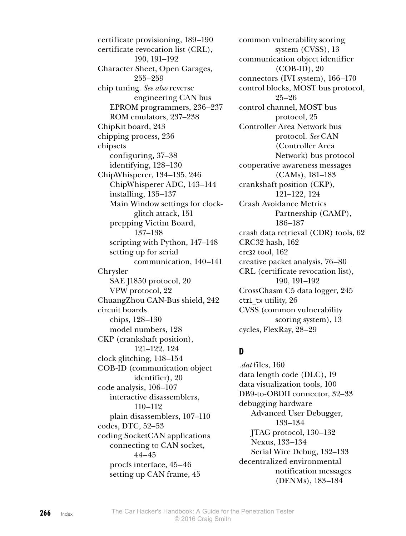certificate provisioning, 189–190 certificate revocation list (CRL), 190, 191–192 Character Sheet, Open Garages, 255–259 chip tuning. *See also* reverse engineering CAN bus EPROM programmers, 236–237 ROM emulators, 237–238 ChipKit board, 243 chipping process, 236 chipsets configuring, 37–38 identifying, 128–130 ChipWhisperer, 134–135, 246 ChipWhisperer ADC, 143–144 installing, 135–137 Main Window settings for clockglitch attack, 151 prepping Victim Board, 137–138 scripting with Python, 147–148 setting up for serial communication, 140–141 Chrysler SAE J1850 protocol, 20 VPW protocol, 22 ChuangZhou CAN-Bus shield, 242 circuit boards chips, 128–130 model numbers, 128 CKP (crankshaft position), 121–122, 124 clock glitching, 148–154 COB-ID (communication object identifier), 20 code analysis, 106–107 interactive disassemblers, 110–112 plain disassemblers, 107–110 codes, DTC, 52–53 coding SocketCAN applications connecting to CAN socket, 44–45 procfs interface, 45–46 setting up CAN frame, 45

common vulnerability scoring system (CVSS), 13 communication object identifier (COB-ID), 20 connectors (IVI system), 166–170 control blocks, MOST bus protocol, 25–26 control channel, MOST bus protocol, 25 Controller Area Network bus protocol. *See* CAN (Controller Area Network) bus protocol cooperative awareness messages (CAMs), 181–183 crankshaft position (CKP), 121–122, 124 Crash Avoidance Metrics Partnership (CAMP), 186–187 crash data retrieval (CDR) tools, 62 CRC32 hash, 162 crc32 tool, 162 creative packet analysis, 76–80 CRL (certificate revocation list), 190, 191–192 CrossChasm C5 data logger, 245 ctrl\_tx utility, 26 CVSS (common vulnerability scoring system), 13 cycles, FlexRay, 28–29

## **D**

*.dat* files, 160 data length code (DLC), 19 data visualization tools, 100 DB9-to-OBDII connector, 32–33 debugging hardware Advanced User Debugger, 133–134 JTAG protocol, 130–132 Nexus, 133–134 Serial Wire Debug, 132–133 decentralized environmental notification messages (DENMs), 183–184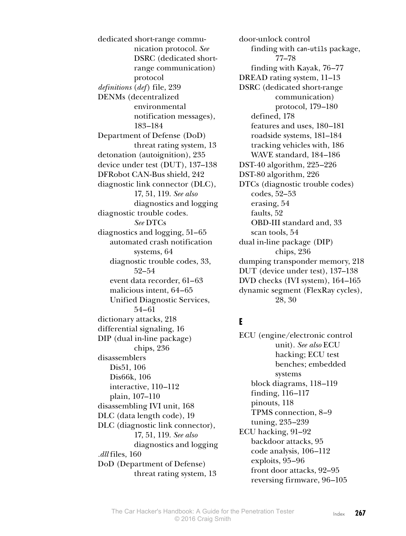dedicated short-range communication protocol. *See* DSRC (dedicated shortrange communication) protocol *definitions* (*def*) file, 239 DENMs (decentralized environmental notification messages), 183–184 Department of Defense (DoD) threat rating system, 13 detonation (autoignition), 235 device under test (DUT), 137–138 DFRobot CAN-Bus shield, 242 diagnostic link connector (DLC), 17, 51, 119. *See also* diagnostics and logging diagnostic trouble codes. *See* DTCs diagnostics and logging, 51–65 automated crash notification systems, 64 diagnostic trouble codes, 33, 52–54 event data recorder, 61–63 malicious intent, 64–65 Unified Diagnostic Services, 54–61 dictionary attacks, 218 differential signaling, 16 DIP (dual in-line package) chips, 236 disassemblers Dis51, 106 Dis66k, 106 interactive, 110–112 plain, 107–110 disassembling IVI unit, 168 DLC (data length code), 19 DLC (diagnostic link connector), 17, 51, 119. *See also* diagnostics and logging *.dll* files, 160 DoD (Department of Defense) threat rating system, 13

door-unlock control finding with can-utils package, 77–78 finding with Kayak, 76–77 DREAD rating system, 11–13 DSRC (dedicated short-range communication) protocol, 179–180 defined, 178 features and uses, 180–181 roadside systems, 181–184 tracking vehicles with, 186 WAVE standard, 184–186 DST-40 algorithm, 225–226 DST-80 algorithm, 226 DTCs (diagnostic trouble codes) codes, 52–53 erasing, 54 faults, 52 OBD-III standard and, 33 scan tools, 54 dual in-line package (DIP) chips, 236 dumping transponder memory, 218 DUT (device under test), 137–138 DVD checks (IVI system), 164–165 dynamic segment (FlexRay cycles), 28, 30

## **E**

ECU (engine/electronic control unit). *See also* ECU hacking; ECU test benches; embedded systems block diagrams, 118–119 finding, 116–117 pinouts, 118 TPMS connection, 8–9 tuning, 235–239 ECU hacking, 91–92 backdoor attacks, 95 code analysis, 106–112 exploits, 95–96 front door attacks, 92–95 reversing firmware, 96–105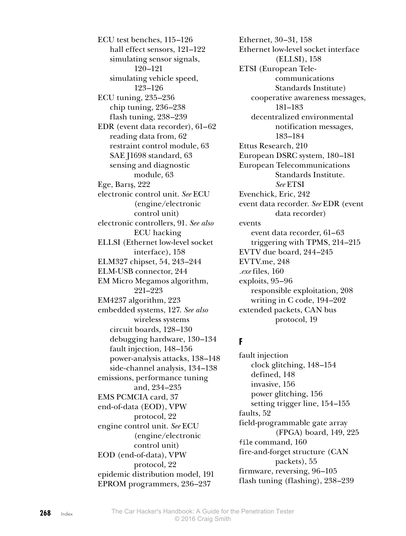ECU test benches, 115–126 hall effect sensors, 121–122 simulating sensor signals, 120–121 simulating vehicle speed, 123–126 ECU tuning, 235–236 chip tuning, 236–238 flash tuning, 238–239 EDR (event data recorder), 61–62 reading data from, 62 restraint control module, 63 SAE J1698 standard, 63 sensing and diagnostic module, 63 Ege, Barış, 222 electronic control unit. *See* ECU (engine/electronic control unit) electronic controllers, 91. *See also* ECU hacking ELLSI (Ethernet low-level socket interface), 158 ELM327 chipset, 54, 243–244 ELM-USB connector, 244 EM Micro Megamos algorithm, 221–223 EM4237 algorithm, 223 embedded systems, 127. *See also* wireless systems circuit boards, 128–130 debugging hardware, 130–134 fault injection, 148–156 power-analysis attacks, 138–148 side-channel analysis, 134–138 emissions, performance tuning and, 234–235 EMS PCMCIA card, 37 end-of-data (EOD), VPW protocol, 22 engine control unit. *See* ECU (engine/electronic control unit) EOD (end-of-data), VPW protocol, 22 epidemic distribution model, 191 EPROM programmers, 236–237

Ethernet, 30–31, 158 Ethernet low-level socket interface (ELLSI), 158 ETSI (European Telecommunications Standards Institute) cooperative awareness messages, 181–183 decentralized environmental notification messages, 183–184 Ettus Research, 210 European DSRC system, 180–181 European Telecommunications Standards Institute. *See* ETSI Evenchick, Eric, 242 event data recorder. *See* EDR (event data recorder) events event data recorder, 61–63 triggering with TPMS, 214–215 EVTV due board, 244–245 EVTV.me, 248 *.exe* files, 160 exploits, 95–96 responsible exploitation, 208 writing in C code, 194–202 extended packets, CAN bus protocol, 19

## **F**

fault injection clock glitching, 148–154 defined, 148 invasive, 156 power glitching, 156 setting trigger line, 154–155 faults, 52 field-programmable gate array (FPGA) board, 149, 225 file command, 160 fire-and-forget structure (CAN packets), 55 firmware, reversing, 96–105 flash tuning (flashing), 238–239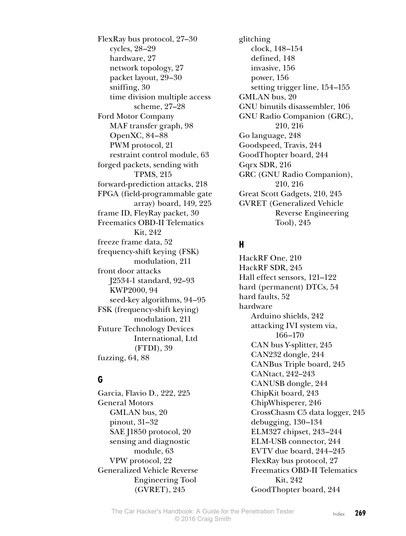FlexRay bus protocol, 27–30 cycles, 28–29 hardware, 27 network topology, 27 packet layout, 29–30 sniffing, 30 time division multiple access scheme, 27–28 Ford Motor Company MAF transfer graph, 98 OpenXC, 84–88 PWM protocol, 21 restraint control module, 63 forged packets, sending with TPMS, 215 forward-prediction attacks, 218 FPGA (field-programmable gate array) board, 149, 225 frame ID, FleyRay packet, 30 Freematics OBD-II Telematics Kit, 242 freeze frame data, 52 frequency-shift keying (FSK) modulation, 211 front door attacks J2534-1 standard, 92–93 KWP2000, 94 seed-key algorithms, 94–95 FSK (frequency-shift keying) modulation, 211 Future Technology Devices International, Ltd (FTDI), 39 fuzzing, 64, 88

## **G**

Garcia, Flavio D., 222, 225 General Motors GMLAN bus, 20 pinout, 31–32 SAE J1850 protocol, 20 sensing and diagnostic module, 63 VPW protocol, 22 Generalized Vehicle Reverse Engineering Tool (GVRET), 245

glitching clock, 148–154 defined, 148 invasive, 156 power, 156 setting trigger line, 154–155 GMLAN bus, 20 GNU binutils disassembler, 106 GNU Radio Companion (GRC), 210, 216 Go language, 248 Goodspeed, Travis, 244 GoodThopter board, 244 Gqrx SDR, 216 GRC (GNU Radio Companion), 210, 216 Great Scott Gadgets, 210, 245 GVRET (Generalized Vehicle Reverse Engineering Tool), 245

### **H**

HackRF One, 210 HackRF SDR, 245 Hall effect sensors, 121–122 hard (permanent) DTCs, 54 hard faults, 52 hardware Arduino shields, 242 attacking IVI system via, 166–170 CAN bus Y-splitter, 245 CAN232 dongle, 244 CANBus Triple board, 245 CANtact, 242–243 CANUSB dongle, 244 ChipKit board, 243 ChipWhisperer, 246 CrossChasm C5 data logger, 245 debugging, 130–134 ELM327 chipset, 243–244 ELM-USB connector, 244 EVTV due board, 244–245 FlexRay bus protocol, 27 Freematics OBD-II Telematics Kit, 242 GoodThopter board, 244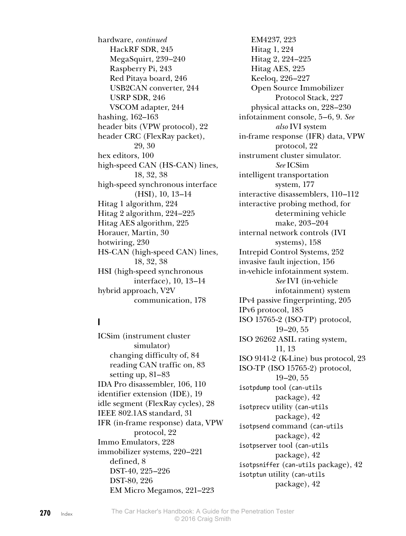hardware, *continued* HackRF SDR, 245 MegaSquirt, 239–240 Raspberry Pi, 243 Red Pitaya board, 246 USB2CAN converter, 244 USRP SDR, 246 VSCOM adapter, 244 hashing, 162–163 header bits (VPW protocol), 22 header CRC (FlexRay packet), 29, 30 hex editors, 100 high-speed CAN (HS-CAN) lines, 18, 32, 38 high-speed synchronous interface (HSI), 10, 13–14 Hitag 1 algorithm, 224 Hitag 2 algorithm, 224–225 Hitag AES algorithm, 225 Horauer, Martin, 30 hotwiring, 230 HS-CAN (high-speed CAN) lines, 18, 32, 38 HSI (high-speed synchronous interface), 10, 13–14 hybrid approach, V2V communication, 178

### **I**

ICSim (instrument cluster simulator) changing difficulty of, 84 reading CAN traffic on, 83 setting up, 81–83 IDA Pro disassembler, 106, 110 identifier extension (IDE), 19 idle segment (FlexRay cycles), 28 IEEE 802.1AS standard, 31 IFR (in-frame response) data, VPW protocol, 22 Immo Emulators, 228 immobilizer systems, 220–221 defined, 8 DST-40, 225–226 DST-80, 226 EM Micro Megamos, 221–223

EM4237, 223 Hitag 1, 224 Hitag 2, 224–225 Hitag AES, 225 Keeloq, 226–227 Open Source Immobilizer Protocol Stack, 227 physical attacks on, 228–230 infotainment console, 5–6, 9. *See also* IVI system in-frame response (IFR) data, VPW protocol, 22 instrument cluster simulator. *See* ICSim intelligent transportation system, 177 interactive disassemblers, 110–112 interactive probing method, for determining vehicle make, 203–204 internal network controls (IVI systems), 158 Intrepid Control Systems, 252 invasive fault injection, 156 in-vehicle infotainment system. *See* IVI (in-vehicle infotainment) system IPv4 passive fingerprinting, 205 IPv6 protocol, 185 ISO 15765-2 (ISO-TP) protocol, 19–20, 55 ISO 26262 ASIL rating system, 11, 13 ISO 9141-2 (K-Line) bus protocol, 23 ISO-TP (ISO 15765-2) protocol, 19–20, 55 isotpdump tool (can-utils package), 42 isotprecv utility (can-utils package), 42 isotpsend command (can-utils package), 42 isotpserver tool (can-utils package), 42 isotpsniffer (can-utils package), 42 isotptun utility (can-utils package), 42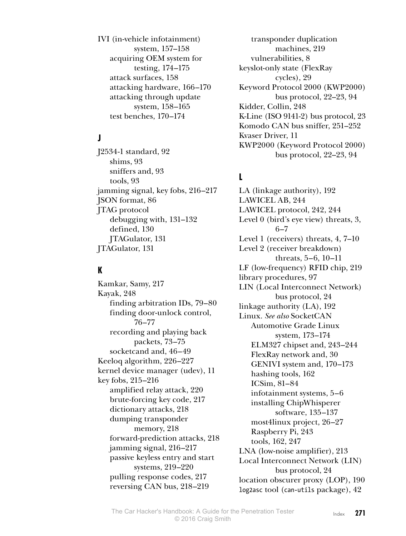IVI (in-vehicle infotainment) system, 157–158 acquiring OEM system for testing, 174–175 attack surfaces, 158 attacking hardware, 166–170 attacking through update system, 158–165 test benches, 170–174

## **J**

J2534-1 standard, 92 shims, 93 sniffers and, 93 tools, 93 jamming signal, key fobs, 216–217 JSON format, 86 JTAG protocol debugging with, 131–132 defined, 130 JTAGulator, 131 JTAGulator, 131

#### **K**

Kamkar, Samy, 217 Kayak, 248 finding arbitration IDs, 79–80 finding door-unlock control, 76–77 recording and playing back packets, 73–75 socketcand and, 46–49 Keeloq algorithm, 226–227 kernel device manager (udev), 11 key fobs, 215–216 amplified relay attack, 220 brute-forcing key code, 217 dictionary attacks, 218 dumping transponder memory, 218 forward-prediction attacks, 218 jamming signal, 216–217 passive keyless entry and start systems, 219–220 pulling response codes, 217 reversing CAN bus, 218–219

transponder duplication machines, 219 vulnerabilities, 8 keyslot-only state (FlexRay cycles), 29 Keyword Protocol 2000 (KWP2000) bus protocol, 22–23, 94 Kidder, Collin, 248 K-Line (ISO 9141-2) bus protocol, 23 Komodo CAN bus sniffer, 251–252 Kvaser Driver, 11 KWP2000 (Keyword Protocol 2000) bus protocol, 22–23, 94

## **L**

LA (linkage authority), 192 LAWICEL AB, 244 LAWICEL protocol, 242, 244 Level 0 (bird's eye view) threats, 3, 6–7 Level 1 (receivers) threats, 4, 7–10 Level 2 (receiver breakdown) threats, 5–6, 10–11 LF (low-frequency) RFID chip, 219 library procedures, 97 LIN (Local Interconnect Network) bus protocol, 24 linkage authority (LA), 192 Linux. *See also* SocketCAN Automotive Grade Linux system, 173–174 ELM327 chipset and, 243–244 FlexRay network and, 30 GENIVI system and, 170–173 hashing tools, 162 ICSim, 81–84 infotainment systems, 5–6 installing ChipWhisperer software, 135–137 most4linux project, 26–27 Raspberry Pi, 243 tools, 162, 247 LNA (low-noise amplifier), 213 Local Interconnect Network (LIN) bus protocol, 24 location obscurer proxy (LOP), 190 log2asc tool (can-utils package), 42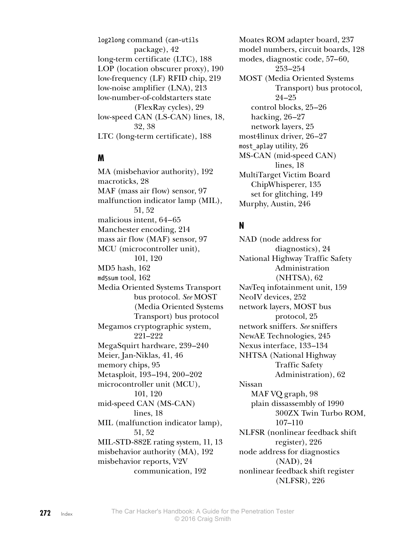log2long command (can-utils package), 42 long-term certificate (LTC), 188 LOP (location obscurer proxy), 190 low-frequency (LF) RFID chip, 219 low-noise amplifier (LNA), 213 low-number-of-coldstarters state (FlexRay cycles), 29 low-speed CAN (LS-CAN) lines, 18, 32, 38 LTC (long-term certificate), 188

#### **M**

MA (misbehavior authority), 192 macroticks, 28 MAF (mass air flow) sensor, 97 malfunction indicator lamp (MIL), 51, 52 malicious intent, 64–65 Manchester encoding, 214 mass air flow (MAF) sensor, 97 MCU (microcontroller unit), 101, 120 MD5 hash, 162 md5sum tool, 162 Media Oriented Systems Transport bus protocol. *See* MOST (Media Oriented Systems Transport) bus protocol Megamos cryptographic system, 221–222 MegaSquirt hardware, 239–240 Meier, Jan-Niklas, 41, 46 memory chips, 95 Metasploit, 193–194, 200–202 microcontroller unit (MCU), 101, 120 mid-speed CAN (MS-CAN) lines, 18 MIL (malfunction indicator lamp), 51, 52 MIL-STD-882E rating system, 11, 13 misbehavior authority (MA), 192 misbehavior reports, V2V communication, 192

Moates ROM adapter board, 237 model numbers, circuit boards, 128 modes, diagnostic code, 57–60, 253–254 MOST (Media Oriented Systems Transport) bus protocol, 24–25 control blocks, 25–26 hacking, 26–27 network layers, 25 most4linux driver, 26–27 most aplay utility, 26 MS-CAN (mid-speed CAN) lines, 18 MultiTarget Victim Board ChipWhisperer, 135 set for glitching, 149 Murphy, Austin, 246

## **N**

NAD (node address for diagnostics), 24 National Highway Traffic Safety Administration (NHTSA), 62 NavTeq infotainment unit, 159 NeoIV devices, 252 network layers, MOST bus protocol, 25 network sniffers. *See* sniffers NewAE Technologies, 245 Nexus interface, 133–134 NHTSA (National Highway Traffic Safety Administration), 62 Nissan MAF VQ graph, 98 plain dissassembly of 1990 300ZX Twin Turbo ROM, 107–110 NLFSR (nonlinear feedback shift register), 226 node address for diagnostics (NAD), 24 nonlinear feedback shift register (NLFSR), 226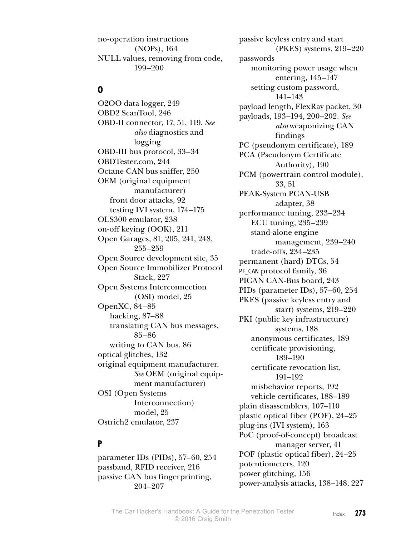no-operation instructions (NOPs), 164 NULL values, removing from code, 199–200

#### **O**

O2OO data logger, 249 OBD2 ScanTool, 246 OBD-II connector, 17, 51, 119. *See also* diagnostics and logging OBD-III bus protocol, 33–34 OBDTester.com, 244 Octane CAN bus sniffer, 250 OEM (original equipment manufacturer) front door attacks, 92 testing IVI system, 174–175 OLS300 emulator, 238 on-off keying (OOK), 211 Open Garages, 81, 205, 241, 248, 255–259 Open Source development site, 35 Open Source Immobilizer Protocol Stack, 227 Open Systems Interconnection (OSI) model, 25 OpenXC, 84–85 hacking, 87–88 translating CAN bus messages, 85–86 writing to CAN bus, 86 optical glitches, 132 original equipment manufacturer. *See* OEM (original equipment manufacturer) OSI (Open Systems Interconnection) model, 25 Ostrich2 emulator, 237

#### **P**

parameter IDs (PIDs), 57–60, 254 passband, RFID receiver, 216 passive CAN bus fingerprinting, 204–207

passive keyless entry and start (PKES) systems, 219–220 passwords monitoring power usage when entering, 145–147 setting custom password, 141–143 payload length, FlexRay packet, 30 payloads, 193–194, 200–202. *See also* weaponizing CAN findings PC (pseudonym certificate), 189 PCA (Pseudonym Certificate Authority), 190 PCM (powertrain control module), 33, 51 PEAK-System PCAN-USB adapter, 38 performance tuning, 233–234 ECU tuning, 235–239 stand-alone engine management, 239–240 trade-offs, 234–235 permanent (hard) DTCs, 54 PF CAN protocol family, 36 PICAN CAN-Bus board, 243 PIDs (parameter IDs), 57–60, 254 PKES (passive keyless entry and start) systems, 219–220 PKI (public key infrastructure) systems, 188 anonymous certificates, 189 certificate provisioning, 189–190 certificate revocation list, 191–192 misbehavior reports, 192 vehicle certificates, 188–189 plain disassemblers, 107–110 plastic optical fiber (POF), 24–25 plug-ins (IVI system), 163 PoC (proof-of-concept) broadcast manager server, 41 POF (plastic optical fiber), 24–25 potentiometers, 120 power glitching, 156 power-analysis attacks, 138–148, 227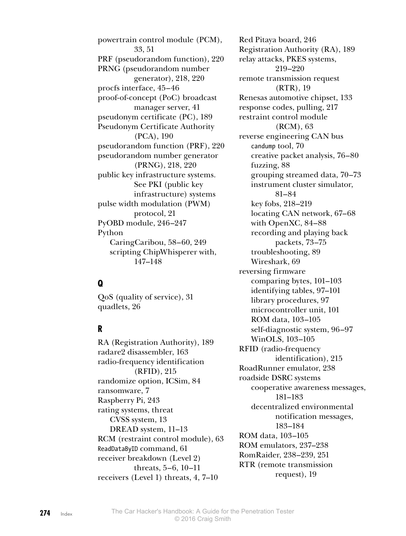powertrain control module (PCM), 33, 51 PRF (pseudorandom function), 220 PRNG (pseudorandom number generator), 218, 220 procfs interface, 45–46 proof-of-concept (PoC) broadcast manager server, 41 pseudonym certificate (PC), 189 Pseudonym Certificate Authority (PCA), 190 pseudorandom function (PRF), 220 pseudorandom number generator (PRNG), 218, 220 public key infrastructure systems. See PKI (public key infrastructure) systems pulse width modulation (PWM) protocol, 21 PyOBD module, 246–247 Python CaringCaribou, 58–60, 249 scripting ChipWhisperer with, 147–148

## **Q**

QoS (quality of service), 31 quadlets, 26

### **R**

RA (Registration Authority), 189 radare2 disassembler, 163 radio-frequency identification (RFID), 215 randomize option, ICSim, 84 ransomware, 7 Raspberry Pi, 243 rating systems, threat CVSS system, 13 DREAD system, 11–13 RCM (restraint control module), 63 ReadDataByID command, 61 receiver breakdown (Level 2) threats, 5–6, 10–11 receivers (Level 1) threats, 4, 7–10

Red Pitaya board, 246 Registration Authority (RA), 189 relay attacks, PKES systems, 219–220 remote transmission request (RTR), 19 Renesas automotive chipset, 133 response codes, pulling, 217 restraint control module (RCM), 63 reverse engineering CAN bus candump tool, 70 creative packet analysis, 76–80 fuzzing, 88 grouping streamed data, 70–73 instrument cluster simulator, 81–84 key fobs, 218–219 locating CAN network, 67–68 with OpenXC, 84–88 recording and playing back packets, 73–75 troubleshooting, 89 Wireshark, 69 reversing firmware comparing bytes, 101–103 identifying tables, 97–101 library procedures, 97 microcontroller unit, 101 ROM data, 103–105 self-diagnostic system, 96–97 WinOLS, 103–105 RFID (radio-frequency identification), 215 RoadRunner emulator, 238 roadside DSRC systems cooperative awareness messages, 181–183 decentralized environmental notification messages, 183–184 ROM data, 103–105 ROM emulators, 237–238 RomRaider, 238–239, 251 RTR (remote transmission request), 19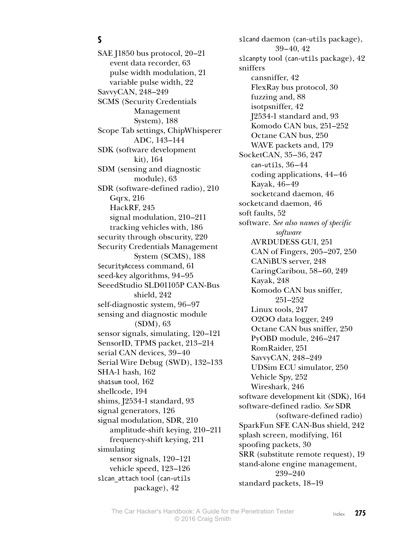### **S**

SAE J1850 bus protocol, 20–21 event data recorder, 63 pulse width modulation, 21 variable pulse width, 22 SavvyCAN, 248–249 SCMS (Security Credentials Management System), 188 Scope Tab settings, ChipWhisperer ADC, 143–144 SDK (software development kit), 164 SDM (sensing and diagnostic module), 63 SDR (software-defined radio), 210 Gqrx, 216 HackRF, 245 signal modulation, 210–211 tracking vehicles with, 186 security through obscurity, 220 Security Credentials Management System (SCMS), 188 SecurityAccess command, 61 seed-key algorithms, 94–95 SeeedStudio SLD01105P CAN-Bus shield, 242 self-diagnostic system, 96–97 sensing and diagnostic module (SDM), 63 sensor signals, simulating, 120–121 SensorID, TPMS packet, 213–214 serial CAN devices, 39–40 Serial Wire Debug (SWD), 132–133 SHA-1 hash, 162 sha1sum tool, 162 shellcode, 194 shims, J2534-1 standard, 93 signal generators, 126 signal modulation, SDR, 210 amplitude-shift keying, 210–211 frequency-shift keying, 211 simulating sensor signals, 120–121 vehicle speed, 123–126 slcan\_attach tool (can-utils package), 42

slcand daemon (can-utils package), 39–40, 42 slcanpty tool (can-utils package), 42 sniffers cansniffer, 42 FlexRay bus protocol, 30 fuzzing and, 88 isotpsniffer, 42 J2534-1 standard and, 93 Komodo CAN bus, 251–252 Octane CAN bus, 250 WAVE packets and, 179 SocketCAN, 35–36, 247 can-utils, 36–44 coding applications, 44–46 Kayak, 46–49 socketcand daemon, 46 socketcand daemon, 46 soft faults, 52 software. *See also names of specific software* AVRDUDESS GUI, 251 CAN of Fingers, 205–207, 250 CANiBUS server, 248 CaringCaribou, 58–60, 249 Kayak, 248 Komodo CAN bus sniffer, 251–252 Linux tools, 247 O2OO data logger, 249 Octane CAN bus sniffer, 250 PyOBD module, 246–247 RomRaider, 251 SavvyCAN, 248–249 UDSim ECU simulator, 250 Vehicle Spy, 252 Wireshark, 246 software development kit (SDK), 164 software-defined radio. *See* SDR (software-defined radio) SparkFun SFE CAN-Bus shield, 242 splash screen, modifying, 161 spoofing packets, 30 SRR (substitute remote request), 19 stand-alone engine management, 239–240 standard packets, 18–19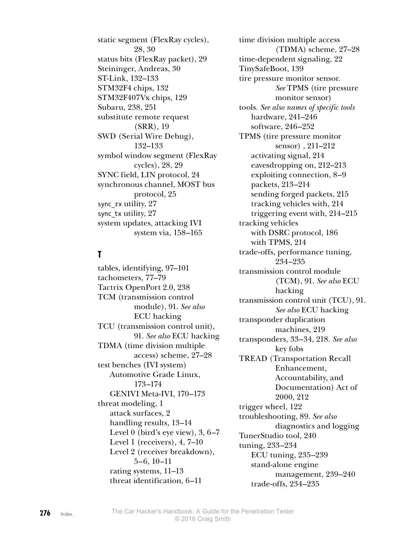static segment (FlexRay cycles), 28, 30 status bits (FlexRay packet), 29 Steininger, Andreas, 30 ST-Link, 132–133 STM32F4 chips, 132 STM32F407Vx chips, 129 Subaru, 238, 251 substitute remote request (SRR), 19 SWD (Serial Wire Debug), 132–133 symbol window segment (FlexRay cycles), 28, 29 SYNC field, LIN protocol, 24 synchronous channel, MOST bus protocol, 25 sync\_rx utility, 27 sync tx utility, 27 system updates, attacking IVI system via, 158–165

### **T**

tables, identifying, 97–101 tachometers, 77–79 Tactrix OpenPort 2.0, 238 TCM (transmission control module), 91. *See also* ECU hacking TCU (transmission control unit), 91. *See also* ECU hacking TDMA (time division multiple access) scheme, 27–28 test benches (IVI system) Automotive Grade Linux, 173–174 GENIVI Meta-IVI, 170–173 threat modeling, 1 attack surfaces, 2 handling results, 13–14 Level 0 (bird's eye view), 3, 6–7 Level 1 (receivers), 4, 7–10 Level 2 (receiver breakdown), 5–6, 10–11 rating systems, 11–13 threat identification, 6–11

time division multiple access (TDMA) scheme, 27–28 time-dependent signaling, 22 TinySafeBoot, 139 tire pressure monitor sensor. *See* TPMS (tire pressure monitor sensor) tools. *See also names of specific tools* hardware, 241–246 software, 246–252 TPMS (tire pressure monitor sensor) , 211–212 activating signal, 214 eavesdropping on, 212–213 exploiting connection, 8–9 packets, 213–214 sending forged packets, 215 tracking vehicles with, 214 triggering event with, 214–215 tracking vehicles with DSRC protocol, 186 with TPMS, 214 trade-offs, performance tuning, 234–235 transmission control module (TCM), 91. *See also* ECU hacking transmission control unit (TCU), 91. *See also* ECU hacking transponder duplication machines, 219 transponders, 33–34, 218. *See also* key fobs TREAD (Transportation Recall Enhancement, Accountability, and Documentation) Act of 2000, 212 trigger wheel, 122 troubleshooting, 89. *See also* diagnostics and logging TunerStudio tool, 240 tuning, 233–234 ECU tuning, 235–239 stand-alone engine management, 239–240 trade-offs, 234–235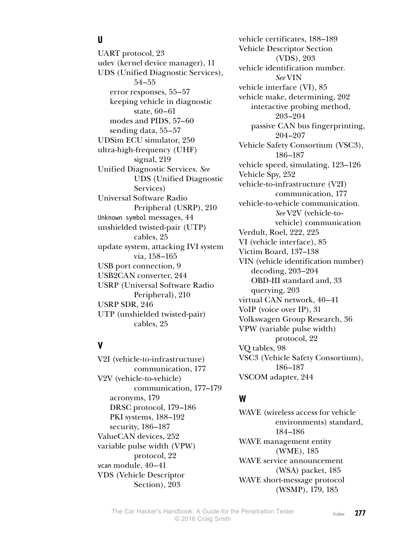## **U**

UART protocol, 23 udev (kernel device manager), 11 UDS (Unified Diagnostic Services), 54–55 error responses, 55–57 keeping vehicle in diagnostic state, 60–61 modes and PIDS, 57–60 sending data, 55–57 UDSim ECU simulator, 250 ultra-high-frequency (UHF) signal, 219 Unified Diagnostic Services. *See* UDS (Unified Diagnostic Services) Universal Software Radio Peripheral (USRP), 210 Unknown symbol messages, 44 unshielded twisted-pair (UTP) cables, 25 update system, attacking IVI system via, 158–165 USB port connection, 9 USB2CAN converter, 244 USRP (Universal Software Radio Peripheral), 210 USRP SDR, 246 UTP (unshielded twisted-pair) cables, 25

### **V**

V2I (vehicle-to-infrastructure) communication, 177 V2V (vehicle-to-vehicle) communication, 177–179 acronyms, 179 DRSC protocol, 179–186 PKI systems, 188–192 security, 186–187 ValueCAN devices, 252 variable pulse width (VPW) protocol, 22 vcan module, 40–41 VDS (Vehicle Descriptor Section), 203

vehicle certificates, 188–189 Vehicle Descriptor Section (VDS), 203 vehicle identification number. *See* VIN vehicle interface (VI), 85 vehicle make, determining, 202 interactive probing method, 203–204 passive CAN bus fingerprinting, 204–207 Vehicle Safety Consortium (VSC3), 186–187 vehicle speed, simulating, 123–126 Vehicle Spy, 252 vehicle-to-infrastructure (V2I) communication, 177 vehicle-to-vehicle communication. *See* V2V (vehicle-tovehicle) communication Verdult, Roel, 222, 225 VI (vehicle interface), 85 Victim Board, 137–138 VIN (vehicle identification number) decoding, 203–204 OBD-III standard and, 33 querying, 203 virtual CAN network, 40–41 VoIP (voice over IP), 31 Volkswagen Group Research, 36 VPW (variable pulse width) protocol, 22 VQ tables, 98 VSC3 (Vehicle Safety Consortium), 186–187 VSCOM adapter, 244

## **W**

WAVE (wireless access for vehicle environments) standard, 184–186 WAVE management entity (WME), 185 WAVE service announcement (WSA) packet, 185 WAVE short-message protocol (WSMP), 179, 185